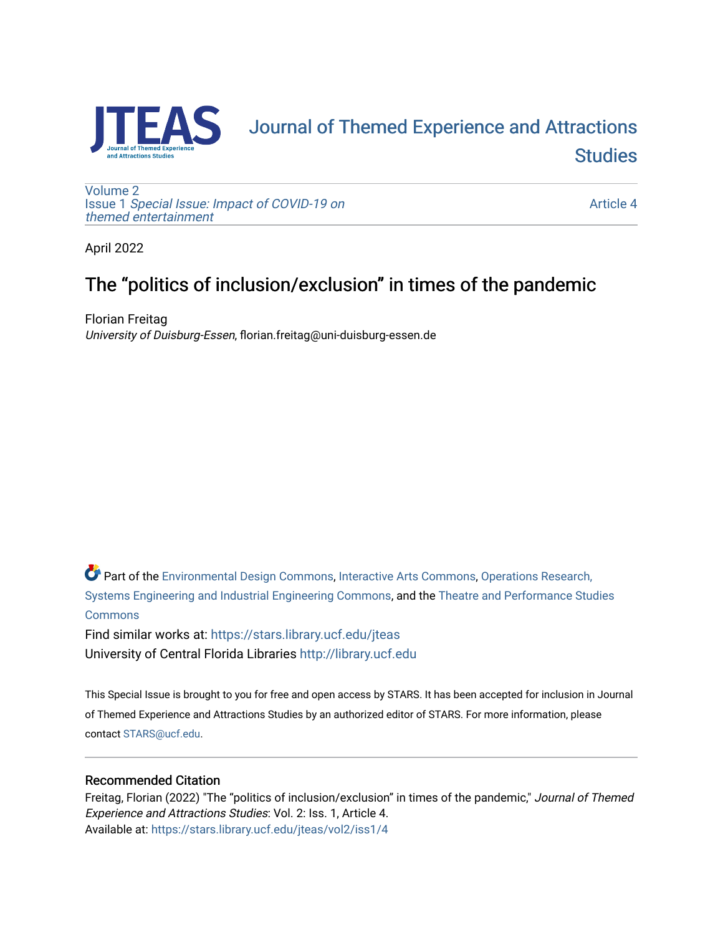

# [Journal of Themed Experience and Attractions](https://stars.library.ucf.edu/jteas)  **Studies**

[Volume 2](https://stars.library.ucf.edu/jteas/vol2) Issue 1 [Special Issue: Impact of COVID-19 on](https://stars.library.ucf.edu/jteas/vol2/iss1)  [themed entertainment](https://stars.library.ucf.edu/jteas/vol2/iss1) 

[Article 4](https://stars.library.ucf.edu/jteas/vol2/iss1/4) 

April 2022

## The "politics of inclusion/exclusion" in times of the pandemic

Florian Freitag University of Duisburg-Essen, florian.freitag@uni-duisburg-essen.de

Part of the [Environmental Design Commons,](http://network.bepress.com/hgg/discipline/777?utm_source=stars.library.ucf.edu%2Fjteas%2Fvol2%2Fiss1%2F4&utm_medium=PDF&utm_campaign=PDFCoverPages) [Interactive Arts Commons](http://network.bepress.com/hgg/discipline/1136?utm_source=stars.library.ucf.edu%2Fjteas%2Fvol2%2Fiss1%2F4&utm_medium=PDF&utm_campaign=PDFCoverPages), [Operations Research,](http://network.bepress.com/hgg/discipline/305?utm_source=stars.library.ucf.edu%2Fjteas%2Fvol2%2Fiss1%2F4&utm_medium=PDF&utm_campaign=PDFCoverPages)  [Systems Engineering and Industrial Engineering Commons](http://network.bepress.com/hgg/discipline/305?utm_source=stars.library.ucf.edu%2Fjteas%2Fvol2%2Fiss1%2F4&utm_medium=PDF&utm_campaign=PDFCoverPages), and the [Theatre and Performance Studies](http://network.bepress.com/hgg/discipline/552?utm_source=stars.library.ucf.edu%2Fjteas%2Fvol2%2Fiss1%2F4&utm_medium=PDF&utm_campaign=PDFCoverPages)  [Commons](http://network.bepress.com/hgg/discipline/552?utm_source=stars.library.ucf.edu%2Fjteas%2Fvol2%2Fiss1%2F4&utm_medium=PDF&utm_campaign=PDFCoverPages)

Find similar works at: <https://stars.library.ucf.edu/jteas> University of Central Florida Libraries [http://library.ucf.edu](http://library.ucf.edu/) 

This Special Issue is brought to you for free and open access by STARS. It has been accepted for inclusion in Journal of Themed Experience and Attractions Studies by an authorized editor of STARS. For more information, please contact [STARS@ucf.edu.](mailto:STARS@ucf.edu)

## Recommended Citation

Freitag, Florian (2022) "The "politics of inclusion/exclusion" in times of the pandemic," Journal of Themed Experience and Attractions Studies: Vol. 2: Iss. 1, Article 4. Available at: [https://stars.library.ucf.edu/jteas/vol2/iss1/4](https://stars.library.ucf.edu/jteas/vol2/iss1/4?utm_source=stars.library.ucf.edu%2Fjteas%2Fvol2%2Fiss1%2F4&utm_medium=PDF&utm_campaign=PDFCoverPages)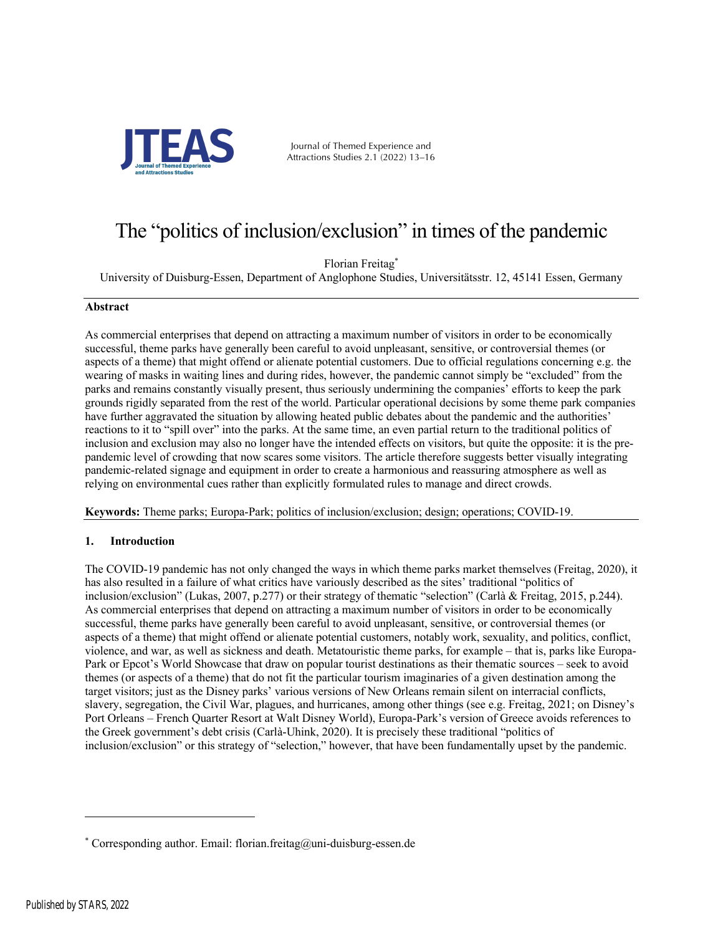

Journal of Themed Experience and Attractions Studies 2.1 (2022) 13–16

## The "politics of inclusion/exclusion" in times of the pandemic

Florian Freitag\*

University of Duisburg-Essen, Department of Anglophone Studies, Universitätsstr. 12, 45141 Essen, Germany

#### **Abstract**

As commercial enterprises that depend on attracting a maximum number of visitors in order to be economically successful, theme parks have generally been careful to avoid unpleasant, sensitive, or controversial themes (or aspects of a theme) that might offend or alienate potential customers. Due to official regulations concerning e.g. the wearing of masks in waiting lines and during rides, however, the pandemic cannot simply be "excluded" from the parks and remains constantly visually present, thus seriously undermining the companies' efforts to keep the park grounds rigidly separated from the rest of the world. Particular operational decisions by some theme park companies have further aggravated the situation by allowing heated public debates about the pandemic and the authorities' reactions to it to "spill over" into the parks. At the same time, an even partial return to the traditional politics of inclusion and exclusion may also no longer have the intended effects on visitors, but quite the opposite: it is the prepandemic level of crowding that now scares some visitors. The article therefore suggests better visually integrating pandemic-related signage and equipment in order to create a harmonious and reassuring atmosphere as well as relying on environmental cues rather than explicitly formulated rules to manage and direct crowds.

**Keywords:** Theme parks; Europa-Park; politics of inclusion/exclusion; design; operations; COVID-19.

### **1. Introduction**

The COVID-19 pandemic has not only changed the ways in which theme parks market themselves (Freitag, 2020), it has also resulted in a failure of what critics have variously described as the sites' traditional "politics of inclusion/exclusion" (Lukas, 2007, p.277) or their strategy of thematic "selection" (Carlà & Freitag, 2015, p.244). As commercial enterprises that depend on attracting a maximum number of visitors in order to be economically successful, theme parks have generally been careful to avoid unpleasant, sensitive, or controversial themes (or aspects of a theme) that might offend or alienate potential customers, notably work, sexuality, and politics, conflict, violence, and war, as well as sickness and death. Metatouristic theme parks, for example – that is, parks like Europa-Park or Epcot's World Showcase that draw on popular tourist destinations as their thematic sources – seek to avoid themes (or aspects of a theme) that do not fit the particular tourism imaginaries of a given destination among the target visitors; just as the Disney parks' various versions of New Orleans remain silent on interracial conflicts, slavery, segregation, the Civil War, plagues, and hurricanes, among other things (see e.g. Freitag, 2021; on Disney's Port Orleans – French Quarter Resort at Walt Disney World), Europa-Park's version of Greece avoids references to the Greek government's debt crisis (Carlà-Uhink, 2020). It is precisely these traditional "politics of inclusion/exclusion" or this strategy of "selection," however, that have been fundamentally upset by the pandemic.

<sup>\*</sup> Corresponding author. Email: florian.freitag@uni-duisburg-essen.de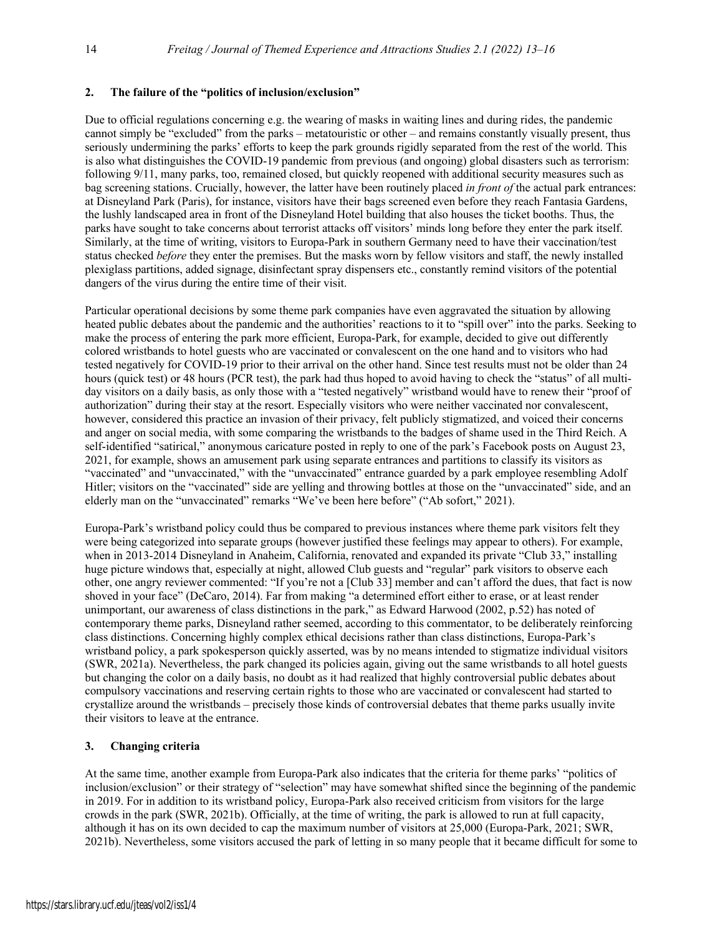### **2. The failure of the "politics of inclusion/exclusion"**

Due to official regulations concerning e.g. the wearing of masks in waiting lines and during rides, the pandemic cannot simply be "excluded" from the parks – metatouristic or other – and remains constantly visually present, thus seriously undermining the parks' efforts to keep the park grounds rigidly separated from the rest of the world. This is also what distinguishes the COVID-19 pandemic from previous (and ongoing) global disasters such as terrorism: following 9/11, many parks, too, remained closed, but quickly reopened with additional security measures such as bag screening stations. Crucially, however, the latter have been routinely placed *in front of* the actual park entrances: at Disneyland Park (Paris), for instance, visitors have their bags screened even before they reach Fantasia Gardens, the lushly landscaped area in front of the Disneyland Hotel building that also houses the ticket booths. Thus, the parks have sought to take concerns about terrorist attacks off visitors' minds long before they enter the park itself. Similarly, at the time of writing, visitors to Europa-Park in southern Germany need to have their vaccination/test status checked *before* they enter the premises. But the masks worn by fellow visitors and staff, the newly installed plexiglass partitions, added signage, disinfectant spray dispensers etc., constantly remind visitors of the potential dangers of the virus during the entire time of their visit.

Particular operational decisions by some theme park companies have even aggravated the situation by allowing heated public debates about the pandemic and the authorities' reactions to it to "spill over" into the parks. Seeking to make the process of entering the park more efficient, Europa-Park, for example, decided to give out differently colored wristbands to hotel guests who are vaccinated or convalescent on the one hand and to visitors who had tested negatively for COVID-19 prior to their arrival on the other hand. Since test results must not be older than 24 hours (quick test) or 48 hours (PCR test), the park had thus hoped to avoid having to check the "status" of all multiday visitors on a daily basis, as only those with a "tested negatively" wristband would have to renew their "proof of authorization" during their stay at the resort. Especially visitors who were neither vaccinated nor convalescent, however, considered this practice an invasion of their privacy, felt publicly stigmatized, and voiced their concerns and anger on social media, with some comparing the wristbands to the badges of shame used in the Third Reich. A self-identified "satirical," anonymous caricature posted in reply to one of the park's Facebook posts on August 23, 2021, for example, shows an amusement park using separate entrances and partitions to classify its visitors as "vaccinated" and "unvaccinated," with the "unvaccinated" entrance guarded by a park employee resembling Adolf Hitler; visitors on the "vaccinated" side are yelling and throwing bottles at those on the "unvaccinated" side, and an elderly man on the "unvaccinated" remarks "We've been here before" ("Ab sofort," 2021).

Europa-Park's wristband policy could thus be compared to previous instances where theme park visitors felt they were being categorized into separate groups (however justified these feelings may appear to others). For example, when in 2013-2014 Disneyland in Anaheim, California, renovated and expanded its private "Club 33," installing huge picture windows that, especially at night, allowed Club guests and "regular" park visitors to observe each other, one angry reviewer commented: "If you're not a [Club 33] member and can't afford the dues, that fact is now shoved in your face" (DeCaro, 2014). Far from making "a determined effort either to erase, or at least render unimportant, our awareness of class distinctions in the park," as Edward Harwood (2002, p.52) has noted of contemporary theme parks, Disneyland rather seemed, according to this commentator, to be deliberately reinforcing class distinctions. Concerning highly complex ethical decisions rather than class distinctions, Europa-Park's wristband policy, a park spokesperson quickly asserted, was by no means intended to stigmatize individual visitors (SWR, 2021a). Nevertheless, the park changed its policies again, giving out the same wristbands to all hotel guests but changing the color on a daily basis, no doubt as it had realized that highly controversial public debates about compulsory vaccinations and reserving certain rights to those who are vaccinated or convalescent had started to crystallize around the wristbands – precisely those kinds of controversial debates that theme parks usually invite their visitors to leave at the entrance.

### **3. Changing criteria**

At the same time, another example from Europa-Park also indicates that the criteria for theme parks' "politics of inclusion/exclusion" or their strategy of "selection" may have somewhat shifted since the beginning of the pandemic in 2019. For in addition to its wristband policy, Europa-Park also received criticism from visitors for the large crowds in the park (SWR, 2021b). Officially, at the time of writing, the park is allowed to run at full capacity, although it has on its own decided to cap the maximum number of visitors at 25,000 (Europa-Park, 2021; SWR, 2021b). Nevertheless, some visitors accused the park of letting in so many people that it became difficult for some to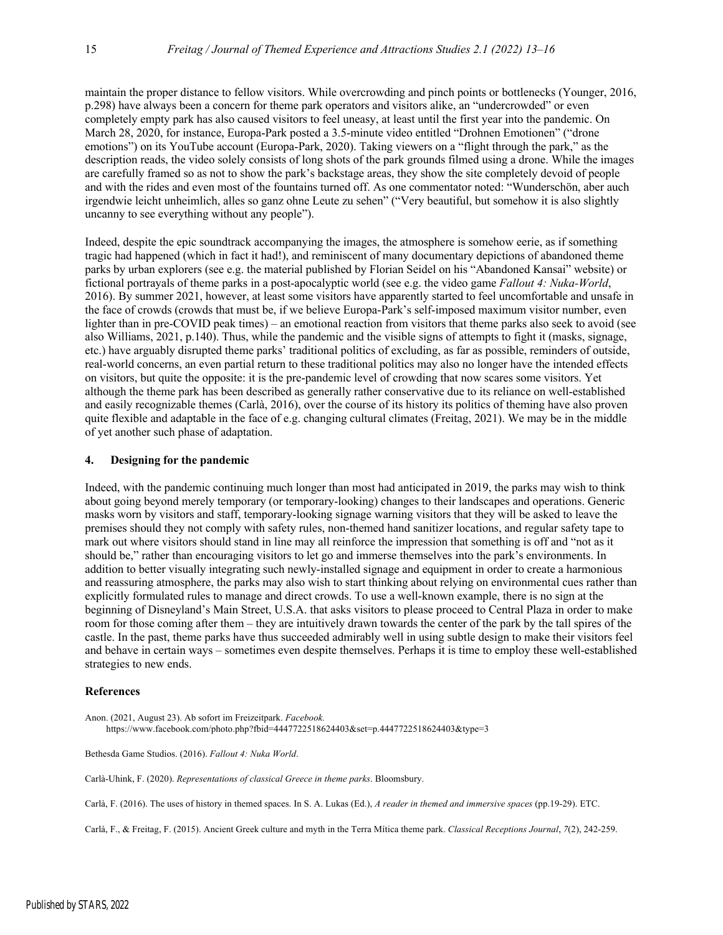maintain the proper distance to fellow visitors. While overcrowding and pinch points or bottlenecks (Younger, 2016, p.298) have always been a concern for theme park operators and visitors alike, an "undercrowded" or even completely empty park has also caused visitors to feel uneasy, at least until the first year into the pandemic. On March 28, 2020, for instance, Europa-Park posted a 3.5-minute video entitled "Drohnen Emotionen" ("drone emotions") on its YouTube account (Europa-Park, 2020). Taking viewers on a "flight through the park," as the description reads, the video solely consists of long shots of the park grounds filmed using a drone. While the images are carefully framed so as not to show the park's backstage areas, they show the site completely devoid of people and with the rides and even most of the fountains turned off. As one commentator noted: "Wunderschön, aber auch irgendwie leicht unheimlich, alles so ganz ohne Leute zu sehen" ("Very beautiful, but somehow it is also slightly uncanny to see everything without any people").

Indeed, despite the epic soundtrack accompanying the images, the atmosphere is somehow eerie, as if something tragic had happened (which in fact it had!), and reminiscent of many documentary depictions of abandoned theme parks by urban explorers (see e.g. the material published by Florian Seidel on his "Abandoned Kansai" website) or fictional portrayals of theme parks in a post-apocalyptic world (see e.g. the video game *Fallout 4: Nuka-World*, 2016). By summer 2021, however, at least some visitors have apparently started to feel uncomfortable and unsafe in the face of crowds (crowds that must be, if we believe Europa-Park's self-imposed maximum visitor number, even lighter than in pre-COVID peak times) – an emotional reaction from visitors that theme parks also seek to avoid (see also Williams, 2021, p.140). Thus, while the pandemic and the visible signs of attempts to fight it (masks, signage, etc.) have arguably disrupted theme parks' traditional politics of excluding, as far as possible, reminders of outside, real-world concerns, an even partial return to these traditional politics may also no longer have the intended effects on visitors, but quite the opposite: it is the pre-pandemic level of crowding that now scares some visitors. Yet although the theme park has been described as generally rather conservative due to its reliance on well-established and easily recognizable themes (Carlà, 2016), over the course of its history its politics of theming have also proven quite flexible and adaptable in the face of e.g. changing cultural climates (Freitag, 2021). We may be in the middle of yet another such phase of adaptation.

#### **4. Designing for the pandemic**

Indeed, with the pandemic continuing much longer than most had anticipated in 2019, the parks may wish to think about going beyond merely temporary (or temporary-looking) changes to their landscapes and operations. Generic masks worn by visitors and staff, temporary-looking signage warning visitors that they will be asked to leave the premises should they not comply with safety rules, non-themed hand sanitizer locations, and regular safety tape to mark out where visitors should stand in line may all reinforce the impression that something is off and "not as it should be," rather than encouraging visitors to let go and immerse themselves into the park's environments. In addition to better visually integrating such newly-installed signage and equipment in order to create a harmonious and reassuring atmosphere, the parks may also wish to start thinking about relying on environmental cues rather than explicitly formulated rules to manage and direct crowds. To use a well-known example, there is no sign at the beginning of Disneyland's Main Street, U.S.A. that asks visitors to please proceed to Central Plaza in order to make room for those coming after them – they are intuitively drawn towards the center of the park by the tall spires of the castle. In the past, theme parks have thus succeeded admirably well in using subtle design to make their visitors feel and behave in certain ways – sometimes even despite themselves. Perhaps it is time to employ these well-established strategies to new ends.

#### **References**

Anon. (2021, August 23). Ab sofort im Freizeitpark. *Facebook.* https://www.facebook.com/photo.php?fbid=4447722518624403&set=p.4447722518624403&type=3

Bethesda Game Studios. (2016). *Fallout 4: Nuka World*.

Carlà-Uhink, F. (2020). *Representations of classical Greece in theme parks*. Bloomsbury.

Carlà, F. (2016). The uses of history in themed spaces. In S. A. Lukas (Ed.), *A reader in themed and immersive spaces* (pp.19-29). ETC.

Carlà, F., & Freitag, F. (2015). Ancient Greek culture and myth in the Terra Mítica theme park. *Classical Receptions Journal*, *7*(2), 242-259.